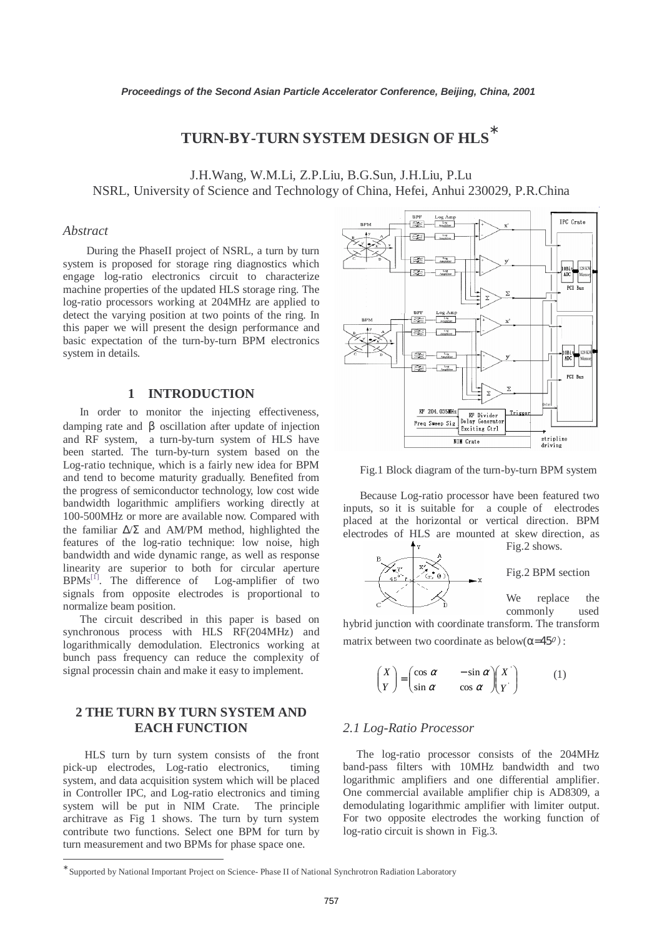# **TURN-BY-TURN SYSTEM DESIGN OF HLS** ∗

J.H.Wang, W.M.Li, Z.P.Liu, B.G.Sun, J.H.Liu, P.Lu NSRL, University of Science and Technology of China, Hefei, Anhui 230029, P.R.China

# *Abstract*

During the PhaseII project of NSRL, a turn by turn system is proposed for storage ring diagnostics which engage log-ratio electronics circuit to characterize machine properties of the updated HLS storage ring. The log-ratio processors working at 204MHz are applied to detect the varying position at two points of the ring. In this paper we will present the design performance and basic expectation of the turn-by-turn BPM electronics system in details.

### **1 INTRODUCTION**

 In order to monitor the injecting effectiveness, damping rate and β oscillation after update of injection and RF system, a turn-by-turn system of HLS have been started. The turn-by-turn system based on the Log-ratio technique, which is a fairly new idea for BPM and tend to become maturity gradually. Benefited from the progress of semiconductor technology, low cost wide bandwidth logarithmic amplifiers working directly at 100-500MHz or more are available now. Compared with the familiar ∆/Σ and AM/PM method, highlighted the features of the log-ratio technique: low noise, high bandwidth and wide dynamic range, as well as response linearity are superior to both for circular aperture  $BPMs^{[1]}$ . The difference of Log-amplifier of two signals from opposite electrodes is proportional to normalize beam position.

 The circuit described in this paper is based on synchronous process with HLS RF(204MHz) and logarithmically demodulation. Electronics working at bunch pass frequency can reduce the complexity of signal processin chain and make it easy to implement.

# **2 THE TURN BY TURN SYSTEM AND EACH FUNCTION**

HLS turn by turn system consists of the front pick-up electrodes, Log-ratio electronics, timing system, and data acquisition system which will be placed in Controller IPC, and Log-ratio electronics and timing system will be put in NIM Crate. The principle architrave as Fig 1 shows. The turn by turn system contribute two functions. Select one BPM for turn by turn measurement and two BPMs for phase space one.

 $\overline{a}$ 



Fig.1 Block diagram of the turn-by-turn BPM system

 Because Log-ratio processor have been featured two inputs, so it is suitable for a couple of electrodes placed at the horizontal or vertical direction. BPM electrodes of HLS are mounted at skew direction, as



hybrid junction with coordinate transform. The transform matrix between two coordinate as below $(\alpha=45^{\circ})$ :

$$
\begin{pmatrix} X \\ Y \end{pmatrix} = \begin{pmatrix} \cos \alpha & -\sin \alpha \\ \sin \alpha & \cos \alpha \end{pmatrix} \begin{pmatrix} X \\ Y \end{pmatrix} \tag{1}
$$

#### *2.1 Log-Ratio Processor*

The log-ratio processor consists of the 204MHz band-pass filters with 10MHz bandwidth and two logarithmic amplifiers and one differential amplifier. One commercial available amplifier chip is AD8309, a demodulating logarithmic amplifier with limiter output. For two opposite electrodes the working function of log-ratio circuit is shown in Fig.3.

<sup>∗</sup> Supported by National Important Project on Science- Phase II of National Synchrotron Radiation Laboratory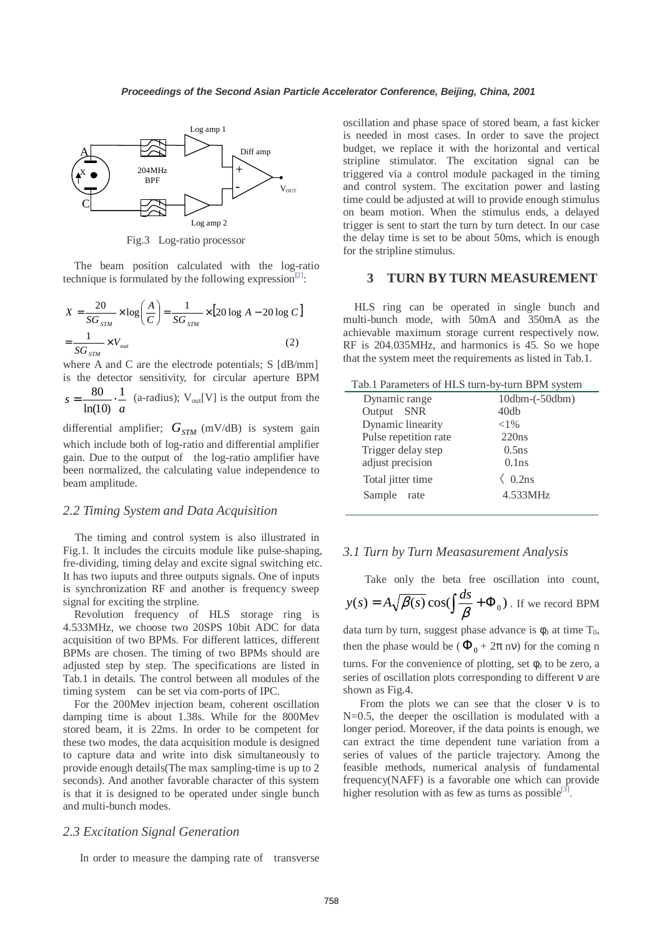

Fig.3 Log-ratio processor

 The beam position calculated with the log-ratio technique is formulated by the following expression<sup>[2]</sup>:

$$
X = \frac{20}{SG_{STM}} \times \log\left(\frac{A}{C}\right) = \frac{1}{SG_{STM}} \times \left[20 \log A - 20 \log C\right]
$$

$$
= \frac{1}{SG_{STM}} \times V_{out}
$$
(2)

where A and C are the electrode potentials; S [dB/mm] is the detector sensitivity, for circular aperture BPM *a*  $s = \frac{80}{1.48} \cdot \frac{1}{1}$ ln(10)  $=\frac{80}{1.68}$   $\cdot$  (a-radius); V<sub>out</sub>[V] is the output from the

differential amplifier;  $G_{STM}$  (mV/dB) is system gain which include both of log-ratio and differential amplifier gain. Due to the output of the log-ratio amplifier have been normalized, the calculating value independence to beam amplitude.

#### *2.2 Timing System and Data Acquisition*

 The timing and control system is also illustrated in Fig.1. It includes the circuits module like pulse-shaping, fre-dividing, timing delay and excite signal switching etc. It has two iuputs and three outputs signals. One of inputs is synchronization RF and another is frequency sweep signal for exciting the strpline.

 Revolution frequency of HLS storage ring is 4.533MHz, we choose two 20SPS 10bit ADC for data acquisition of two BPMs. For different lattices, different BPMs are chosen. The timing of two BPMs should are adjusted step by step. The specifications are listed in Tab.1 in details. The control between all modules of the timing system can be set via com-ports of IPC.

 For the 200Mev injection beam, coherent oscillation damping time is about 1.38s. While for the 800Mev stored beam, it is 22ms. In order to be competent for these two modes, the data acquisition module is designed to capture data and write into disk simultaneously to provide enough details(The max sampling-time is up to 2 seconds). And another favorable character of this system is that it is designed to be operated under single bunch and multi-bunch modes.

### *2.3 Excitation Signal Generation*

In order to measure the damping rate of transverse

oscillation and phase space of stored beam, a fast kicker is needed in most cases. In order to save the project budget, we replace it with the horizontal and vertical stripline stimulator. The excitation signal can be triggered via a control module packaged in the timing and control system. The excitation power and lasting time could be adjusted at will to provide enough stimulus on beam motion. When the stimulus ends, a delayed trigger is sent to start the turn by turn detect. In our case the delay time is set to be about 50ms, which is enough for the stripline stimulus.

#### **3 TURN BY TURN MEASUREMENT**

 HLS ring can be operated in single bunch and multi-bunch mode, with 50mA and 350mA as the achievable maximum storage current respectively now. RF is 204.035MHz, and harmonics is 45. So we hope that the system meet the requirements as listed in Tab.1.

| Tab.1 Parameters of HLS turn-by-turn BPM system |                  |
|-------------------------------------------------|------------------|
| Dynamic range                                   | $10dbm-(-50dbm)$ |
| Output SNR                                      | 40db             |
| Dynamic linearity                               | ${<}1\%$         |
| Pulse repetition rate                           | 220ns            |
| Trigger delay step                              | 0.5ns            |
| adjust precision                                | 0.1ns            |
| Total jitter time                               | $0.2$ ns         |
| Sample rate                                     | 4.533MHz         |
|                                                 |                  |

#### *3.1 Turn by Turn Measasurement Analysis*

Take only the beta free oscillation into count,  $y(s) = A\sqrt{\beta(s)}\cos(\int \frac{ds}{\beta} + \Phi_0)$ . If we record BPM

data turn by turn, suggest phase advance is  $\phi_0$  at time  $T_0$ , then the phase would be ( $\Phi_0 + 2\pi$  nv) for the coming n turns. For the convenience of plotting, set  $\phi_0$  to be zero, a series of oscillation plots corresponding to different ν are shown as Fig.4.

From the plots we can see that the closer  $v$  is to N=0.5, the deeper the oscillation is modulated with a longer period. Moreover, if the data points is enough, we can extract the time dependent tune variation from a series of values of the particle trajectory. Among the feasible methods, numerical analysis of fundamental frequency(NAFF) is a favorable one which can provide higher resolution with as few as turns as possible $[3]$ .